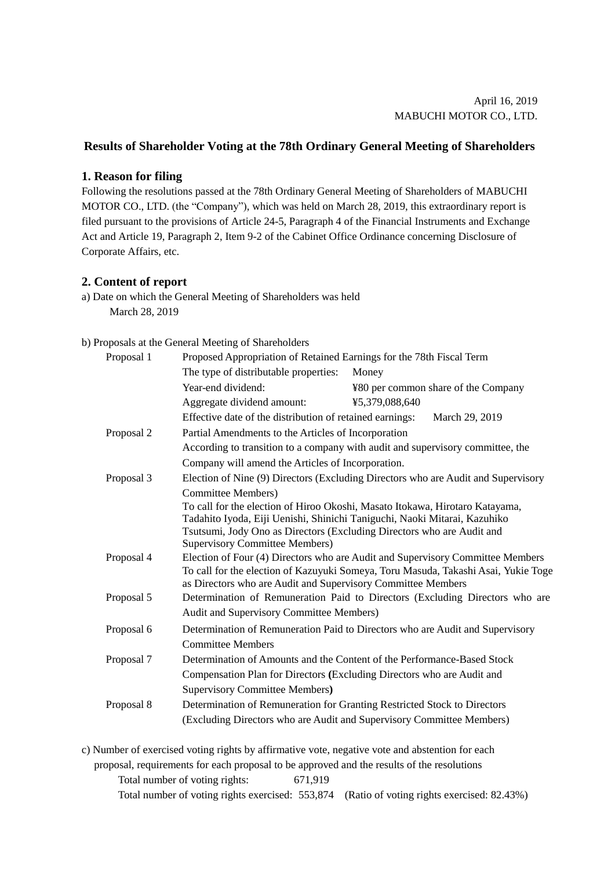## **Results of Shareholder Voting at the 78th Ordinary General Meeting of Shareholders**

## **1. Reason for filing**

Following the resolutions passed at the 78th Ordinary General Meeting of Shareholders of MABUCHI MOTOR CO., LTD. (the "Company"), which was held on March 28, 2019, this extraordinary report is filed pursuant to the provisions of Article 24-5, Paragraph 4 of the Financial Instruments and Exchange Act and Article 19, Paragraph 2, Item 9-2 of the Cabinet Office Ordinance concerning Disclosure of Corporate Affairs, etc.

## **2. Content of report**

a) Date on which the General Meeting of Shareholders was held March 28, 2019

## b) Proposals at the General Meeting of Shareholders

| Proposal 1               | Proposed Appropriation of Retained Earnings for the 78th Fiscal Term                                                                               |                                     |  |  |  |  |
|--------------------------|----------------------------------------------------------------------------------------------------------------------------------------------------|-------------------------------------|--|--|--|--|
|                          | The type of distributable properties:                                                                                                              | Money                               |  |  |  |  |
|                          | Year-end dividend:                                                                                                                                 | ¥80 per common share of the Company |  |  |  |  |
|                          | Aggregate dividend amount:                                                                                                                         | ¥5,379,088,640                      |  |  |  |  |
|                          | Effective date of the distribution of retained earnings:<br>March 29, 2019                                                                         |                                     |  |  |  |  |
| Proposal 2               | Partial Amendments to the Articles of Incorporation                                                                                                |                                     |  |  |  |  |
|                          | According to transition to a company with audit and supervisory committee, the                                                                     |                                     |  |  |  |  |
|                          | Company will amend the Articles of Incorporation.                                                                                                  |                                     |  |  |  |  |
| Proposal 3<br>Proposal 4 | Election of Nine (9) Directors (Excluding Directors who are Audit and Supervisory                                                                  |                                     |  |  |  |  |
|                          | <b>Committee Members</b> )                                                                                                                         |                                     |  |  |  |  |
|                          | To call for the election of Hiroo Okoshi, Masato Itokawa, Hirotaro Katayama,                                                                       |                                     |  |  |  |  |
|                          | Tadahito Iyoda, Eiji Uenishi, Shinichi Taniguchi, Naoki Mitarai, Kazuhiko                                                                          |                                     |  |  |  |  |
|                          | Tsutsumi, Jody Ono as Directors (Excluding Directors who are Audit and                                                                             |                                     |  |  |  |  |
|                          | <b>Supervisory Committee Members)</b>                                                                                                              |                                     |  |  |  |  |
|                          | Election of Four (4) Directors who are Audit and Supervisory Committee Members                                                                     |                                     |  |  |  |  |
|                          | To call for the election of Kazuyuki Someya, Toru Masuda, Takashi Asai, Yukie Toge<br>as Directors who are Audit and Supervisory Committee Members |                                     |  |  |  |  |
| Proposal 5               | Determination of Remuneration Paid to Directors (Excluding Directors who are                                                                       |                                     |  |  |  |  |
|                          | Audit and Supervisory Committee Members)                                                                                                           |                                     |  |  |  |  |
| Proposal 6               | Determination of Remuneration Paid to Directors who are Audit and Supervisory                                                                      |                                     |  |  |  |  |
|                          | <b>Committee Members</b>                                                                                                                           |                                     |  |  |  |  |
| Proposal 7               | Determination of Amounts and the Content of the Performance-Based Stock                                                                            |                                     |  |  |  |  |
|                          | Compensation Plan for Directors (Excluding Directors who are Audit and                                                                             |                                     |  |  |  |  |
|                          | <b>Supervisory Committee Members)</b>                                                                                                              |                                     |  |  |  |  |
| Proposal 8               | Determination of Remuneration for Granting Restricted Stock to Directors                                                                           |                                     |  |  |  |  |
|                          | (Excluding Directors who are Audit and Supervisory Committee Members)                                                                              |                                     |  |  |  |  |
|                          |                                                                                                                                                    |                                     |  |  |  |  |
|                          |                                                                                                                                                    |                                     |  |  |  |  |

c) Number of exercised voting rights by affirmative vote, negative vote and abstention for each proposal, requirements for each proposal to be approved and the results of the resolutions Total number of voting rights: 671,919 Total number of voting rights exercised: 553,874 (Ratio of voting rights exercised: 82.43%)